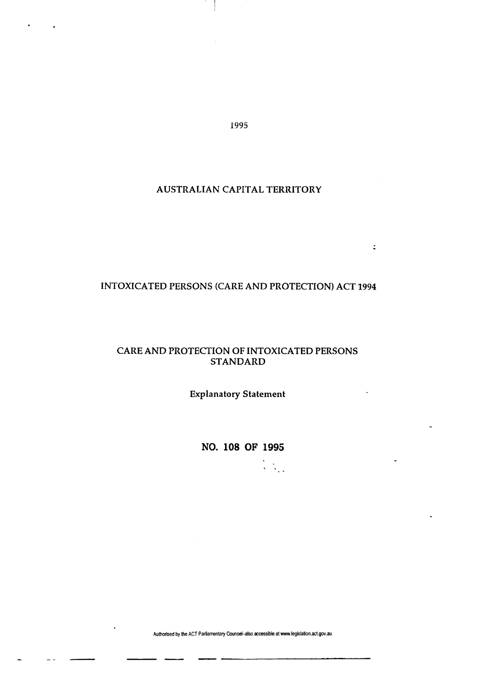1995

## AUSTRALIAN CAPITAL TERRITORY

# INTOXICATED PERSONS (CARE AND PROTECTION) ACT 1994

 $\ddot{\div}$ 

## CARE AND PROTECTION OF INTOXICATED PERSONS STANDARD

Explanatory Statement

**NO. 108 OF 1995** 

**Authorised by the ACT Parliamentary Counsel-also accessible at www.legislation.act.gov.au**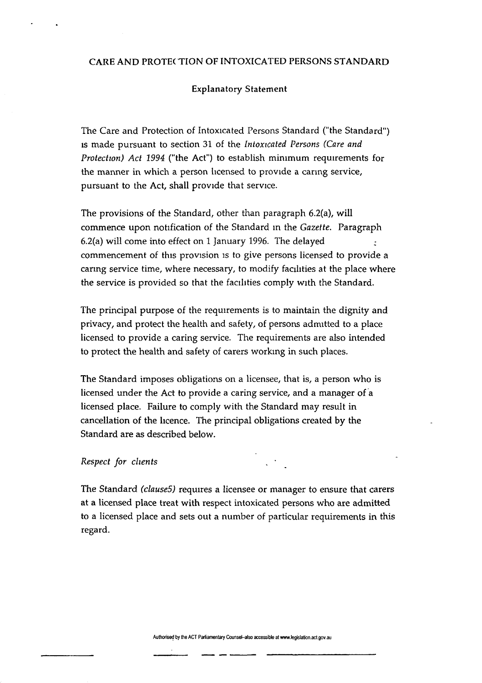### CARE AND PROTECTION OF INTOXICATED PERSONS STANDARD

### Explanatory Statement

The Care and Protection of Intoxicated Persons Standard ("the Standard") is made pursuant to section 31 of the *Intoxicated Persons (Care and Protection) Act 1994* ("the Act") to establish minimum requirements for the manner in which a person licensed to provide a caring service, pursuant to the Act, shall provide that service.

The provisions of the Standard, other than paragraph 6.2(a), will commence upon notification of the Standard in the *Gazette.* Paragraph 6.2(a) will come into effect on 1 January 1996. The delayed : commencement of this provision is to give persons licensed to provide a caring service time, where necessary, to modify facilities at the place where the service is provided so that the facilities comply with the Standard.

The principal purpose of the requirements is to maintain the dignity and privacy, and protect the health and safety, of persons admitted to a place licensed to provide a caring service. The requirements are also intended to protect the health and safety of carers working in such places.

The Standard imposes obligations on a licensee, that is, a person who is licensed under the Act to provide a caring service, and a manager of a licensed place. Failure to comply with the Standard may result in cancellation of the licence. The principal obligations created by the Standard are as described below.

## *Respect for clients* . •

The Standard *(clause5)* requires a licensee or manager to ensure that carers at a licensed place treat with respect intoxicated persons who are admitted to a licensed place and sets out a number of particular requirements in this regard.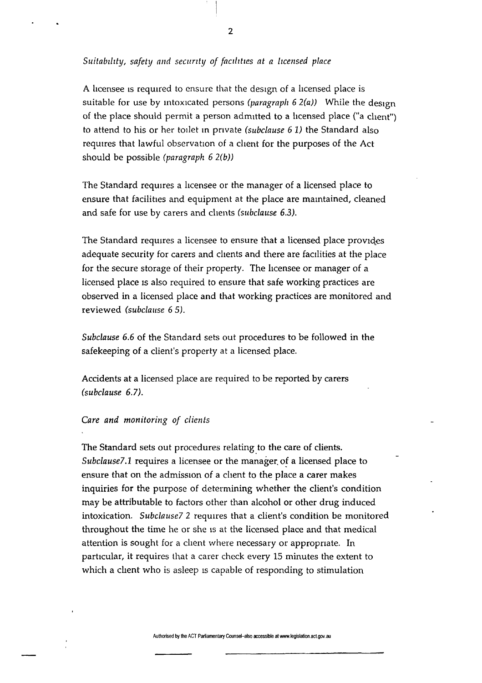*Suitability, safety and security of facilities at a licensed place* 

A licensee is required to ensure that the design of a licensed place is suitable for use by intoxicated persons *(paragraph 6 2(a))* While the design of the place should permit a person admitted to a licensed place ("a client") to attend to his or her toilet in private *(subclause 6 1)* the Standard also requires that lawful observation of a client for the purposes of the Act should be possible *(paragraph 6 2(b))* 

The Standard requires a licensee or the manager of a licensed place to ensure that facilities and equipment at the place are maintained, cleaned and safe for use by carers and clients *(subclause 6.3).* 

The Standard requires a licensee to ensure that a licensed place provides adequate security for carers and clients and there are facilities at the place for the secure storage of their property. The licensee or manager of a licensed place is also required to ensure that safe working practices are observed in a licensed place and that working practices are monitored and reviewed *(subclause 6 5).* 

*Subclause 6.6* of the Standard sets out procedures to be followed in the safekeeping of a client's property at a licensed place.

Accidents at a licensed place are required to be reported by carers *(subclause 6.7).* 

### *Care and monitoring of clients*

The Standard sets out procedures relating to the care of clients. *Subclause7.1* requires a licensee or the manager, of a licensed place to ensure that on the admission of a client to the place a carer makes inquiries for the purpose of determining whether the client's condition may be attributable to factors other than alcohol or other drug induced intoxication. *Subclause? 2* requires that a client's condition be monitored throughout the time he or she is at the licensed place and that medical attention is sought for a client where necessary or appropriate. In particular, it requires that a carer check every 15 minutes the extent to which a client who is asleep is capable of responding to stimulation